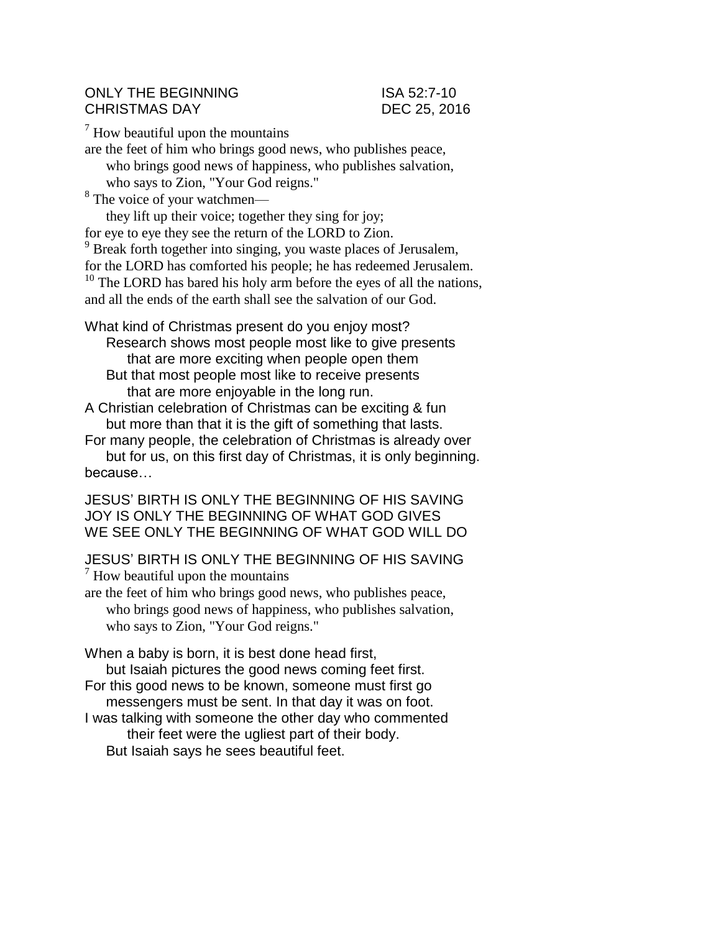## ONLY THE BEGINNING ISA 52:7-10 CHRISTMAS DAY DEC 25, 2016

 $<sup>7</sup>$  How beautiful upon the mountains</sup>

are the feet of him who brings good news, who publishes peace, who brings good news of happiness, who publishes salvation, who says to Zion, "Your God reigns."

<sup>8</sup> The voice of your watchmen—

they lift up their voice; together they sing for joy;

for eye to eye they see the return of the LORD to Zion.

<sup>9</sup> Break forth together into singing, you waste places of Jerusalem,

for the LORD has comforted his people; he has redeemed Jerusalem.

<sup>10</sup> The LORD has bared his holy arm before the eyes of all the nations, and all the ends of the earth shall see the salvation of our God.

What kind of Christmas present do you enjoy most? Research shows most people most like to give presents that are more exciting when people open them But that most people most like to receive presents that are more enjoyable in the long run.

A Christian celebration of Christmas can be exciting & fun but more than that it is the gift of something that lasts.

For many people, the celebration of Christmas is already over but for us, on this first day of Christmas, it is only beginning. because…

JESUS' BIRTH IS ONLY THE BEGINNING OF HIS SAVING JOY IS ONLY THE BEGINNING OF WHAT GOD GIVES WE SEE ONLY THE BEGINNING OF WHAT GOD WILL DO

JESUS' BIRTH IS ONLY THE BEGINNING OF HIS SAVING  $<sup>7</sup>$  How beautiful upon the mountains</sup>

are the feet of him who brings good news, who publishes peace, who brings good news of happiness, who publishes salvation, who says to Zion, "Your God reigns."

When a baby is born, it is best done head first, but Isaiah pictures the good news coming feet first.

- For this good news to be known, someone must first go messengers must be sent. In that day it was on foot.
- I was talking with someone the other day who commented their feet were the ugliest part of their body. But Isaiah says he sees beautiful feet.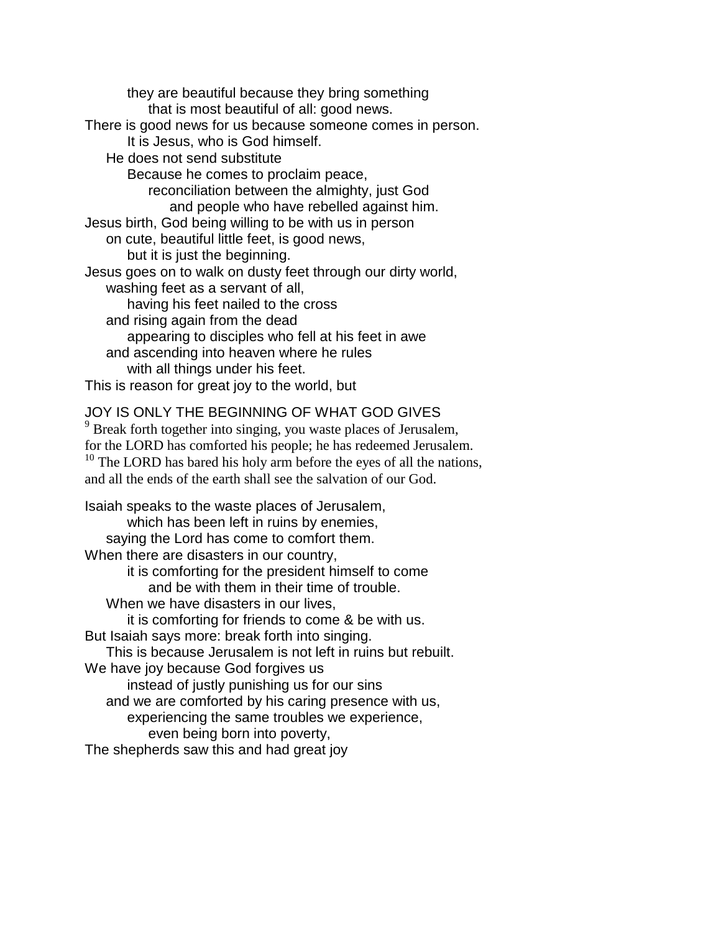they are beautiful because they bring something that is most beautiful of all: good news. There is good news for us because someone comes in person. It is Jesus, who is God himself. He does not send substitute Because he comes to proclaim peace, reconciliation between the almighty, just God and people who have rebelled against him. Jesus birth, God being willing to be with us in person on cute, beautiful little feet, is good news, but it is just the beginning. Jesus goes on to walk on dusty feet through our dirty world, washing feet as a servant of all, having his feet nailed to the cross and rising again from the dead appearing to disciples who fell at his feet in awe and ascending into heaven where he rules with all things under his feet. This is reason for great joy to the world, but JOY IS ONLY THE BEGINNING OF WHAT GOD GIVES <sup>9</sup> Break forth together into singing, you waste places of Jerusalem,

for the LORD has comforted his people; he has redeemed Jerusalem.  $10$  The LORD has bared his holy arm before the eyes of all the nations, and all the ends of the earth shall see the salvation of our God.

Isaiah speaks to the waste places of Jerusalem, which has been left in ruins by enemies, saying the Lord has come to comfort them. When there are disasters in our country, it is comforting for the president himself to come and be with them in their time of trouble. When we have disasters in our lives, it is comforting for friends to come & be with us. But Isaiah says more: break forth into singing. This is because Jerusalem is not left in ruins but rebuilt. We have joy because God forgives us instead of justly punishing us for our sins and we are comforted by his caring presence with us, experiencing the same troubles we experience, even being born into poverty, The shepherds saw this and had great joy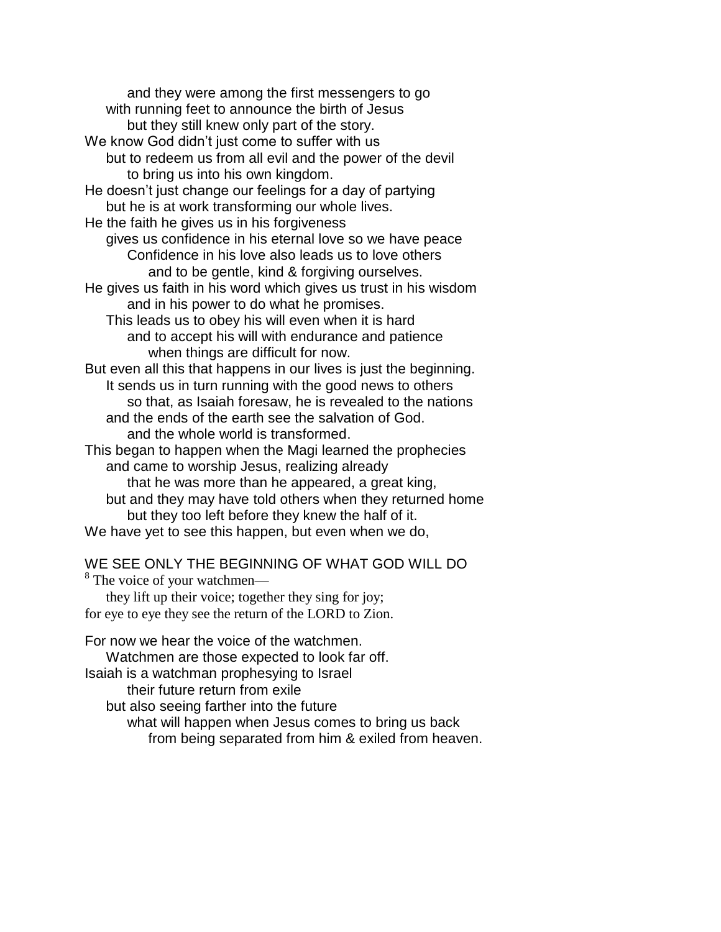and they were among the first messengers to go with running feet to announce the birth of Jesus but they still knew only part of the story. We know God didn't just come to suffer with us but to redeem us from all evil and the power of the devil to bring us into his own kingdom. He doesn't just change our feelings for a day of partying but he is at work transforming our whole lives. He the faith he gives us in his forgiveness gives us confidence in his eternal love so we have peace Confidence in his love also leads us to love others and to be gentle, kind & forgiving ourselves. He gives us faith in his word which gives us trust in his wisdom and in his power to do what he promises. This leads us to obey his will even when it is hard and to accept his will with endurance and patience when things are difficult for now. But even all this that happens in our lives is just the beginning. It sends us in turn running with the good news to others so that, as Isaiah foresaw, he is revealed to the nations and the ends of the earth see the salvation of God. and the whole world is transformed. This began to happen when the Magi learned the prophecies and came to worship Jesus, realizing already that he was more than he appeared, a great king, but and they may have told others when they returned home but they too left before they knew the half of it. We have yet to see this happen, but even when we do,

## WE SEE ONLY THE BEGINNING OF WHAT GOD WILL DO

<sup>8</sup> The voice of your watchmen they lift up their voice; together they sing for joy; for eye to eye they see the return of the LORD to Zion.

For now we hear the voice of the watchmen. Watchmen are those expected to look far off. Isaiah is a watchman prophesying to Israel their future return from exile but also seeing farther into the future what will happen when Jesus comes to bring us back from being separated from him & exiled from heaven.